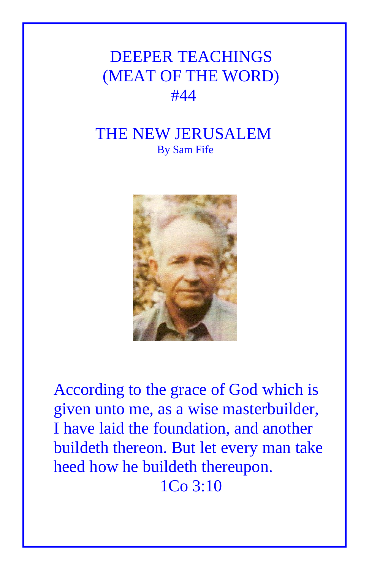## DEEPER TEACHINGS (MEAT OF THE WORD) #44

## THE NEW JERUSALEM By Sam Fife



According to the grace of God which is given unto me, as a wise masterbuilder, I have laid the foundation, and another buildeth thereon. But let every man take heed how he buildeth thereupon. 1Co 3:10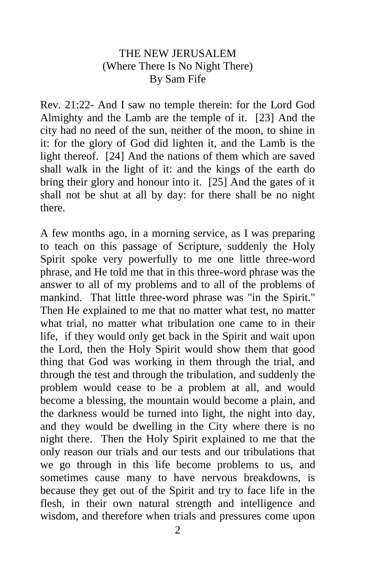## THE NEW JERUSALEM (Where There Is No Night There) By Sam Fife

Rev. 21:22- And I saw no temple therein: for the Lord God Almighty and the Lamb are the temple of it. [23] And the city had no need of the sun, neither of the moon, to shine in it: for the glory of God did lighten it, and the Lamb is the light thereof. [24] And the nations of them which are saved shall walk in the light of it: and the kings of the earth do bring their glory and honour into it. [25] And the gates of it shall not be shut at all by day: for there shall be no night there.

A few months ago, in a morning service, as I was preparing to teach on this passage of Scripture, suddenly the Holy Spirit spoke very powerfully to me one little three-word phrase, and He told me that in this three-word phrase was the answer to all of my problems and to all of the problems of mankind. That little three-word phrase was "in the Spirit." Then He explained to me that no matter what test, no matter what trial, no matter what tribulation one came to in their life, if they would only get back in the Spirit and wait upon the Lord, then the Holy Spirit would show them that good thing that God was working in them through the trial, and through the test and through the tribulation, and suddenly the problem would cease to be a problem at all, and would become a blessing, the mountain would become a plain, and the darkness would be turned into light, the night into day, and they would be dwelling in the City where there is no night there. Then the Holy Spirit explained to me that the only reason our trials and our tests and our tribulations that we go through in this life become problems to us, and sometimes cause many to have nervous breakdowns, is because they get out of the Spirit and try to face life in the flesh, in their own natural strength and intelligence and wisdom, and therefore when trials and pressures come upon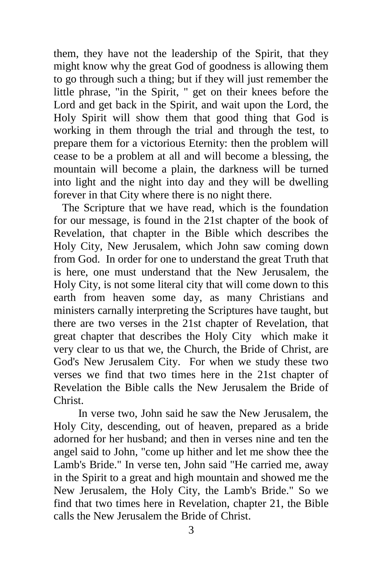them, they have not the leadership of the Spirit, that they might know why the great God of goodness is allowing them to go through such a thing; but if they will just remember the little phrase, "in the Spirit, " get on their knees before the Lord and get back in the Spirit, and wait upon the Lord, the Holy Spirit will show them that good thing that God is working in them through the trial and through the test, to prepare them for a victorious Eternity: then the problem will cease to be a problem at all and will become a blessing, the mountain will become a plain, the darkness will be turned into light and the night into day and they will be dwelling forever in that City where there is no night there.

 The Scripture that we have read, which is the foundation for our message, is found in the 21st chapter of the book of Revelation, that chapter in the Bible which describes the Holy City, New Jerusalem, which John saw coming down from God. In order for one to understand the great Truth that is here, one must understand that the New Jerusalem, the Holy City, is not some literal city that will come down to this earth from heaven some day, as many Christians and ministers carnally interpreting the Scriptures have taught, but there are two verses in the 21st chapter of Revelation, that great chapter that describes the Holy City which make it very clear to us that we, the Church, the Bride of Christ, are God's New Jerusalem City. For when we study these two verses we find that two times here in the 21st chapter of Revelation the Bible calls the New Jerusalem the Bride of Christ.

 In verse two, John said he saw the New Jerusalem, the Holy City, descending, out of heaven, prepared as a bride adorned for her husband; and then in verses nine and ten the angel said to John, "come up hither and let me show thee the Lamb's Bride." In verse ten, John said "He carried me, away in the Spirit to a great and high mountain and showed me the New Jerusalem, the Holy City, the Lamb's Bride." So we find that two times here in Revelation, chapter 21, the Bible calls the New Jerusalem the Bride of Christ.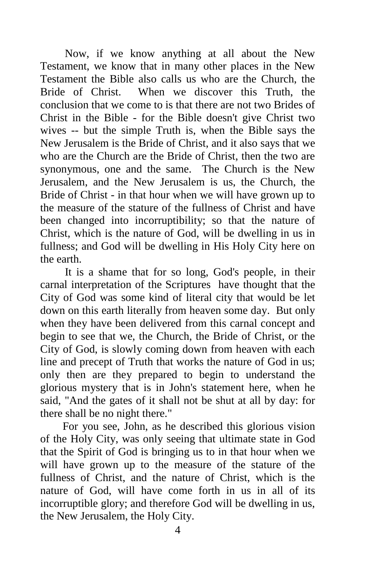Now, if we know anything at all about the New Testament, we know that in many other places in the New Testament the Bible also calls us who are the Church, the Bride of Christ. When we discover this Truth, the conclusion that we come to is that there are not two Brides of Christ in the Bible - for the Bible doesn't give Christ two wives -- but the simple Truth is, when the Bible says the New Jerusalem is the Bride of Christ, and it also says that we who are the Church are the Bride of Christ, then the two are synonymous, one and the same. The Church is the New Jerusalem, and the New Jerusalem is us, the Church, the Bride of Christ - in that hour when we will have grown up to the measure of the stature of the fullness of Christ and have been changed into incorruptibility; so that the nature of Christ, which is the nature of God, will be dwelling in us in fullness; and God will be dwelling in His Holy City here on the earth.

 It is a shame that for so long, God's people, in their carnal interpretation of the Scriptures have thought that the City of God was some kind of literal city that would be let down on this earth literally from heaven some day. But only when they have been delivered from this carnal concept and begin to see that we, the Church, the Bride of Christ, or the City of God, is slowly coming down from heaven with each line and precept of Truth that works the nature of God in us; only then are they prepared to begin to understand the glorious mystery that is in John's statement here, when he said, "And the gates of it shall not be shut at all by day: for there shall be no night there."

 For you see, John, as he described this glorious vision of the Holy City, was only seeing that ultimate state in God that the Spirit of God is bringing us to in that hour when we will have grown up to the measure of the stature of the fullness of Christ, and the nature of Christ, which is the nature of God, will have come forth in us in all of its incorruptible glory; and therefore God will be dwelling in us, the New Jerusalem, the Holy City.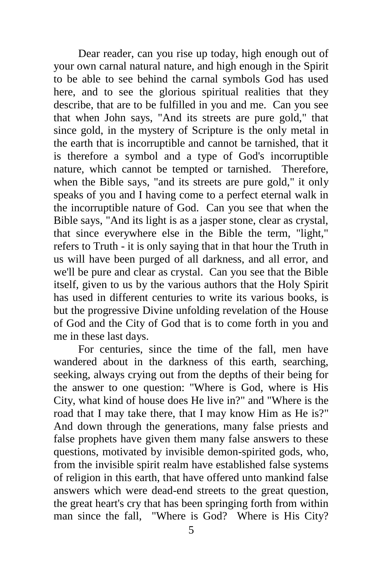Dear reader, can you rise up today, high enough out of your own carnal natural nature, and high enough in the Spirit to be able to see behind the carnal symbols God has used here, and to see the glorious spiritual realities that they describe, that are to be fulfilled in you and me. Can you see that when John says, "And its streets are pure gold," that since gold, in the mystery of Scripture is the only metal in the earth that is incorruptible and cannot be tarnished, that it is therefore a symbol and a type of God's incorruptible nature, which cannot be tempted or tarnished. Therefore, when the Bible says, "and its streets are pure gold," it only speaks of you and I having come to a perfect eternal walk in the incorruptible nature of God. Can you see that when the Bible says, "And its light is as a jasper stone, clear as crystal, that since everywhere else in the Bible the term, "light," refers to Truth - it is only saying that in that hour the Truth in us will have been purged of all darkness, and all error, and we'll be pure and clear as crystal. Can you see that the Bible itself, given to us by the various authors that the Holy Spirit has used in different centuries to write its various books, is but the progressive Divine unfolding revelation of the House of God and the City of God that is to come forth in you and me in these last days.

 For centuries, since the time of the fall, men have wandered about in the darkness of this earth, searching, seeking, always crying out from the depths of their being for the answer to one question: "Where is God, where is His City, what kind of house does He live in?" and "Where is the road that I may take there, that I may know Him as He is?" And down through the generations, many false priests and false prophets have given them many false answers to these questions, motivated by invisible demon-spirited gods, who, from the invisible spirit realm have established false systems of religion in this earth, that have offered unto mankind false answers which were dead-end streets to the great question, the great heart's cry that has been springing forth from within man since the fall, "Where is God? Where is His City?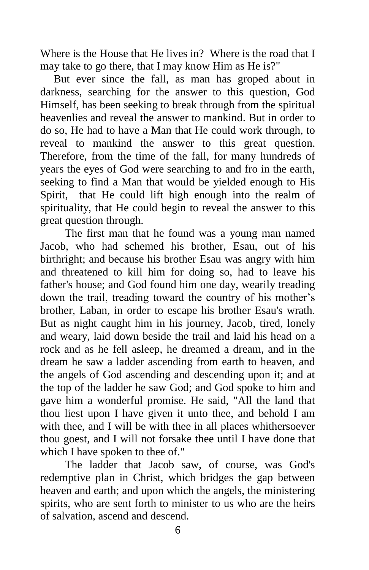Where is the House that He lives in? Where is the road that I may take to go there, that I may know Him as He is?"

But ever since the fall, as man has groped about in darkness, searching for the answer to this question, God Himself, has been seeking to break through from the spiritual heavenlies and reveal the answer to mankind. But in order to do so, He had to have a Man that He could work through, to reveal to mankind the answer to this great question. Therefore, from the time of the fall, for many hundreds of years the eyes of God were searching to and fro in the earth, seeking to find a Man that would be yielded enough to His Spirit, that He could lift high enough into the realm of spirituality, that He could begin to reveal the answer to this great question through.

 The first man that he found was a young man named Jacob, who had schemed his brother, Esau, out of his birthright; and because his brother Esau was angry with him and threatened to kill him for doing so, had to leave his father's house; and God found him one day, wearily treading down the trail, treading toward the country of his mother's brother, Laban, in order to escape his brother Esau's wrath. But as night caught him in his journey, Jacob, tired, lonely and weary, laid down beside the trail and laid his head on a rock and as he fell asleep, he dreamed a dream, and in the dream he saw a ladder ascending from earth to heaven, and the angels of God ascending and descending upon it; and at the top of the ladder he saw God; and God spoke to him and gave him a wonderful promise. He said, "All the land that thou liest upon I have given it unto thee, and behold I am with thee, and I will be with thee in all places whithersoever thou goest, and I will not forsake thee until I have done that which I have spoken to thee of."

 The ladder that Jacob saw, of course, was God's redemptive plan in Christ, which bridges the gap between heaven and earth; and upon which the angels, the ministering spirits, who are sent forth to minister to us who are the heirs of salvation, ascend and descend.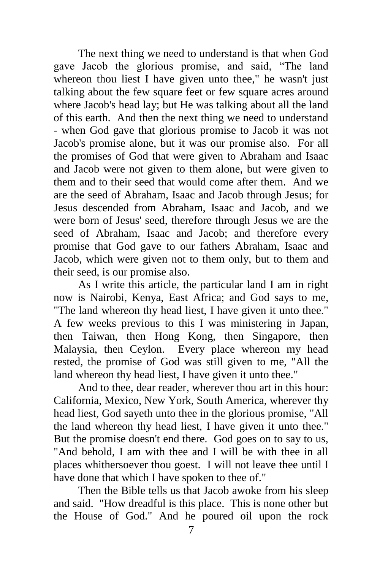The next thing we need to understand is that when God gave Jacob the glorious promise, and said, "The land whereon thou liest I have given unto thee," he wasn't just talking about the few square feet or few square acres around where Jacob's head lay; but He was talking about all the land of this earth. And then the next thing we need to understand - when God gave that glorious promise to Jacob it was not Jacob's promise alone, but it was our promise also. For all the promises of God that were given to Abraham and Isaac and Jacob were not given to them alone, but were given to them and to their seed that would come after them. And we are the seed of Abraham, Isaac and Jacob through Jesus; for Jesus descended from Abraham, Isaac and Jacob, and we were born of Jesus' seed, therefore through Jesus we are the seed of Abraham, Isaac and Jacob; and therefore every promise that God gave to our fathers Abraham, Isaac and Jacob, which were given not to them only, but to them and their seed, is our promise also.

 As I write this article, the particular land I am in right now is Nairobi, Kenya, East Africa; and God says to me, "The land whereon thy head liest, I have given it unto thee." A few weeks previous to this I was ministering in Japan, then Taiwan, then Hong Kong, then Singapore, then Malaysia, then Ceylon. Every place whereon my head rested, the promise of God was still given to me, "All the land whereon thy head liest, I have given it unto thee."

 And to thee, dear reader, wherever thou art in this hour: California, Mexico, New York, South America, wherever thy head liest, God sayeth unto thee in the glorious promise, "All the land whereon thy head liest, I have given it unto thee." But the promise doesn't end there. God goes on to say to us, "And behold, I am with thee and I will be with thee in all places whithersoever thou goest. I will not leave thee until I have done that which I have spoken to thee of."

 Then the Bible tells us that Jacob awoke from his sleep and said. "How dreadful is this place. This is none other but the House of God." And he poured oil upon the rock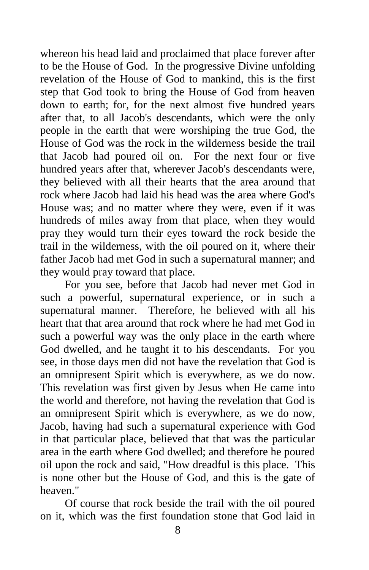whereon his head laid and proclaimed that place forever after to be the House of God. In the progressive Divine unfolding revelation of the House of God to mankind, this is the first step that God took to bring the House of God from heaven down to earth; for, for the next almost five hundred years after that, to all Jacob's descendants, which were the only people in the earth that were worshiping the true God, the House of God was the rock in the wilderness beside the trail that Jacob had poured oil on. For the next four or five hundred years after that, wherever Jacob's descendants were, they believed with all their hearts that the area around that rock where Jacob had laid his head was the area where God's House was; and no matter where they were, even if it was hundreds of miles away from that place, when they would pray they would turn their eyes toward the rock beside the trail in the wilderness, with the oil poured on it, where their father Jacob had met God in such a supernatural manner; and they would pray toward that place.

 For you see, before that Jacob had never met God in such a powerful, supernatural experience, or in such a supernatural manner. Therefore, he believed with all his heart that that area around that rock where he had met God in such a powerful way was the only place in the earth where God dwelled, and he taught it to his descendants. For you see, in those days men did not have the revelation that God is an omnipresent Spirit which is everywhere, as we do now. This revelation was first given by Jesus when He came into the world and therefore, not having the revelation that God is an omnipresent Spirit which is everywhere, as we do now, Jacob, having had such a supernatural experience with God in that particular place, believed that that was the particular area in the earth where God dwelled; and therefore he poured oil upon the rock and said, "How dreadful is this place. This is none other but the House of God, and this is the gate of heaven."

 Of course that rock beside the trail with the oil poured on it, which was the first foundation stone that God laid in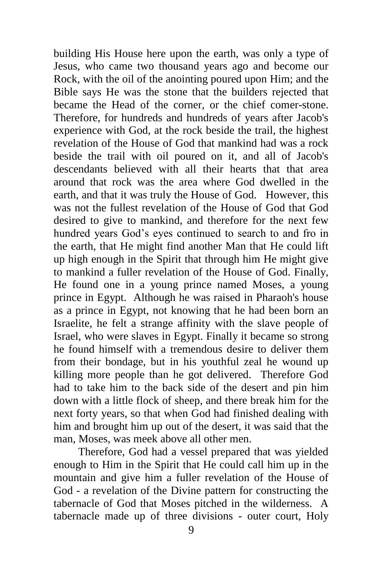building His House here upon the earth, was only a type of Jesus, who came two thousand years ago and become our Rock, with the oil of the anointing poured upon Him; and the Bible says He was the stone that the builders rejected that became the Head of the corner, or the chief comer-stone. Therefore, for hundreds and hundreds of years after Jacob's experience with God, at the rock beside the trail, the highest revelation of the House of God that mankind had was a rock beside the trail with oil poured on it, and all of Jacob's descendants believed with all their hearts that that area around that rock was the area where God dwelled in the earth, and that it was truly the House of God. However, this was not the fullest revelation of the House of God that God desired to give to mankind, and therefore for the next few hundred years God's eyes continued to search to and fro in the earth, that He might find another Man that He could lift up high enough in the Spirit that through him He might give to mankind a fuller revelation of the House of God. Finally, He found one in a young prince named Moses, a young prince in Egypt. Although he was raised in Pharaoh's house as a prince in Egypt, not knowing that he had been born an Israelite, he felt a strange affinity with the slave people of Israel, who were slaves in Egypt. Finally it became so strong he found himself with a tremendous desire to deliver them from their bondage, but in his youthful zeal he wound up killing more people than he got delivered. Therefore God had to take him to the back side of the desert and pin him down with a little flock of sheep, and there break him for the next forty years, so that when God had finished dealing with him and brought him up out of the desert, it was said that the man, Moses, was meek above all other men.

 Therefore, God had a vessel prepared that was yielded enough to Him in the Spirit that He could call him up in the mountain and give him a fuller revelation of the House of God - a revelation of the Divine pattern for constructing the tabernacle of God that Moses pitched in the wilderness. A tabernacle made up of three divisions - outer court, Holy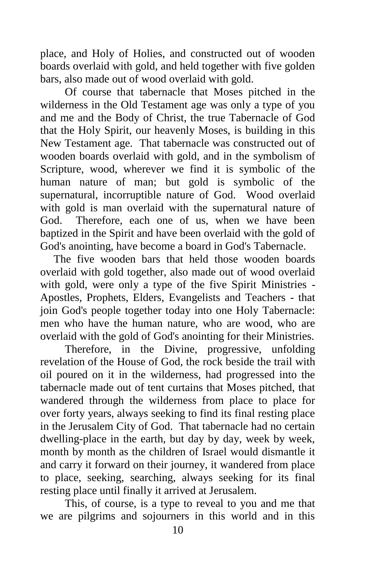place, and Holy of Holies, and constructed out of wooden boards overlaid with gold, and held together with five golden bars, also made out of wood overlaid with gold.

 Of course that tabernacle that Moses pitched in the wilderness in the Old Testament age was only a type of you and me and the Body of Christ, the true Tabernacle of God that the Holy Spirit, our heavenly Moses, is building in this New Testament age. That tabernacle was constructed out of wooden boards overlaid with gold, and in the symbolism of Scripture, wood, wherever we find it is symbolic of the human nature of man; but gold is symbolic of the supernatural, incorruptible nature of God. Wood overlaid with gold is man overlaid with the supernatural nature of God. Therefore, each one of us, when we have been baptized in the Spirit and have been overlaid with the gold of God's anointing, have become a board in God's Tabernacle.

The five wooden bars that held those wooden boards overlaid with gold together, also made out of wood overlaid with gold, were only a type of the five Spirit Ministries - Apostles, Prophets, Elders, Evangelists and Teachers - that join God's people together today into one Holy Tabernacle: men who have the human nature, who are wood, who are overlaid with the gold of God's anointing for their Ministries.

 Therefore, in the Divine, progressive, unfolding revelation of the House of God, the rock beside the trail with oil poured on it in the wilderness, had progressed into the tabernacle made out of tent curtains that Moses pitched, that wandered through the wilderness from place to place for over forty years, always seeking to find its final resting place in the Jerusalem City of God. That tabernacle had no certain dwelling-place in the earth, but day by day, week by week, month by month as the children of Israel would dismantle it and carry it forward on their journey, it wandered from place to place, seeking, searching, always seeking for its final resting place until finally it arrived at Jerusalem.

 This, of course, is a type to reveal to you and me that we are pilgrims and sojourners in this world and in this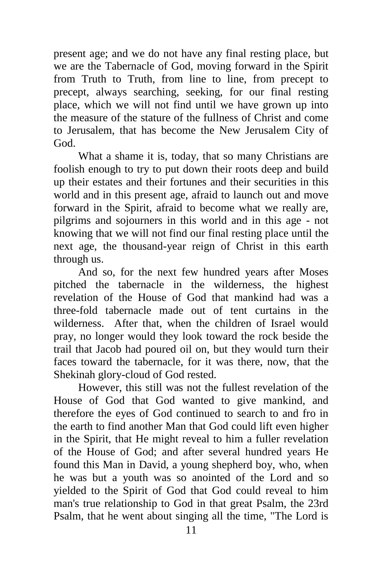present age; and we do not have any final resting place, but we are the Tabernacle of God, moving forward in the Spirit from Truth to Truth, from line to line, from precept to precept, always searching, seeking, for our final resting place, which we will not find until we have grown up into the measure of the stature of the fullness of Christ and come to Jerusalem, that has become the New Jerusalem City of God.

 What a shame it is, today, that so many Christians are foolish enough to try to put down their roots deep and build up their estates and their fortunes and their securities in this world and in this present age, afraid to launch out and move forward in the Spirit, afraid to become what we really are, pilgrims and sojourners in this world and in this age - not knowing that we will not find our final resting place until the next age, the thousand-year reign of Christ in this earth through us.

 And so, for the next few hundred years after Moses pitched the tabernacle in the wilderness, the highest revelation of the House of God that mankind had was a three-fold tabernacle made out of tent curtains in the wilderness. After that, when the children of Israel would pray, no longer would they look toward the rock beside the trail that Jacob had poured oil on, but they would turn their faces toward the tabernacle, for it was there, now, that the Shekinah glory-cloud of God rested.

 However, this still was not the fullest revelation of the House of God that God wanted to give mankind, and therefore the eyes of God continued to search to and fro in the earth to find another Man that God could lift even higher in the Spirit, that He might reveal to him a fuller revelation of the House of God; and after several hundred years He found this Man in David, a young shepherd boy, who, when he was but a youth was so anointed of the Lord and so yielded to the Spirit of God that God could reveal to him man's true relationship to God in that great Psalm, the 23rd Psalm, that he went about singing all the time, "The Lord is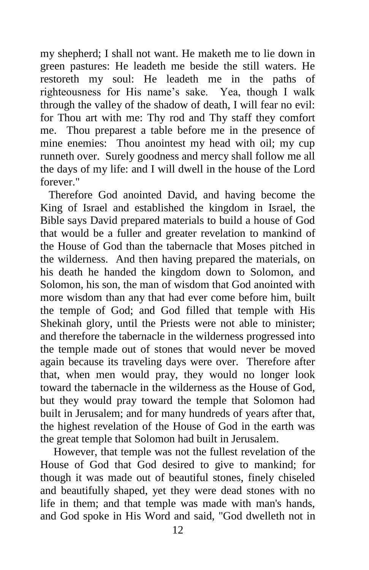my shepherd; I shall not want. He maketh me to lie down in green pastures: He leadeth me beside the still waters. He restoreth my soul: He leadeth me in the paths of righteousness for His name's sake. Yea, though I walk through the valley of the shadow of death, I will fear no evil: for Thou art with me: Thy rod and Thy staff they comfort me. Thou preparest a table before me in the presence of mine enemies: Thou anointest my head with oil; my cup runneth over. Surely goodness and mercy shall follow me all the days of my life: and I will dwell in the house of the Lord forever."

 Therefore God anointed David, and having become the King of Israel and established the kingdom in Israel, the Bible says David prepared materials to build a house of God that would be a fuller and greater revelation to mankind of the House of God than the tabernacle that Moses pitched in the wilderness. And then having prepared the materials, on his death he handed the kingdom down to Solomon, and Solomon, his son, the man of wisdom that God anointed with more wisdom than any that had ever come before him, built the temple of God; and God filled that temple with His Shekinah glory, until the Priests were not able to minister; and therefore the tabernacle in the wilderness progressed into the temple made out of stones that would never be moved again because its traveling days were over. Therefore after that, when men would pray, they would no longer look toward the tabernacle in the wilderness as the House of God, but they would pray toward the temple that Solomon had built in Jerusalem; and for many hundreds of years after that, the highest revelation of the House of God in the earth was the great temple that Solomon had built in Jerusalem.

However, that temple was not the fullest revelation of the House of God that God desired to give to mankind; for though it was made out of beautiful stones, finely chiseled and beautifully shaped, yet they were dead stones with no life in them; and that temple was made with man's hands, and God spoke in His Word and said, "God dwelleth not in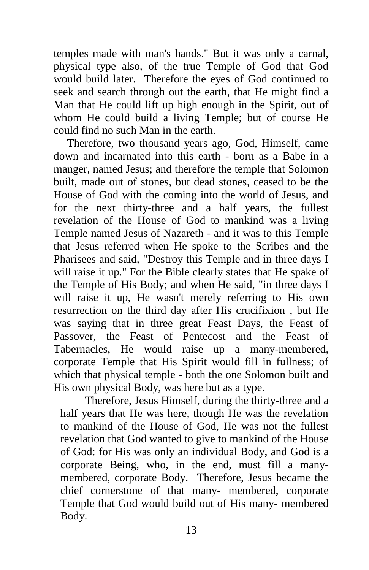temples made with man's hands." But it was only a carnal, physical type also, of the true Temple of God that God would build later. Therefore the eyes of God continued to seek and search through out the earth, that He might find a Man that He could lift up high enough in the Spirit, out of whom He could build a living Temple; but of course He could find no such Man in the earth.

Therefore, two thousand years ago, God, Himself, came down and incarnated into this earth - born as a Babe in a manger, named Jesus; and therefore the temple that Solomon built, made out of stones, but dead stones, ceased to be the House of God with the coming into the world of Jesus, and for the next thirty-three and a half years, the fullest revelation of the House of God to mankind was a living Temple named Jesus of Nazareth - and it was to this Temple that Jesus referred when He spoke to the Scribes and the Pharisees and said, "Destroy this Temple and in three days I will raise it up." For the Bible clearly states that He spake of the Temple of His Body; and when He said, "in three days I will raise it up, He wasn't merely referring to His own resurrection on the third day after His crucifixion , but He was saying that in three great Feast Days, the Feast of Passover, the Feast of Pentecost and the Feast of Tabernacles, He would raise up a many-membered, corporate Temple that His Spirit would fill in fullness; of which that physical temple - both the one Solomon built and His own physical Body, was here but as a type.

 Therefore, Jesus Himself, during the thirty-three and a half years that He was here, though He was the revelation to mankind of the House of God, He was not the fullest revelation that God wanted to give to mankind of the House of God: for His was only an individual Body, and God is a corporate Being, who, in the end, must fill a manymembered, corporate Body. Therefore, Jesus became the chief cornerstone of that many- membered, corporate Temple that God would build out of His many- membered Body.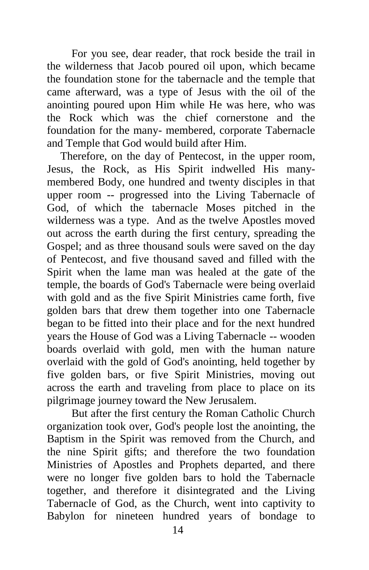For you see, dear reader, that rock beside the trail in the wilderness that Jacob poured oil upon, which became the foundation stone for the tabernacle and the temple that came afterward, was a type of Jesus with the oil of the anointing poured upon Him while He was here, who was the Rock which was the chief cornerstone and the foundation for the many- membered, corporate Tabernacle and Temple that God would build after Him.

Therefore, on the day of Pentecost, in the upper room, Jesus, the Rock, as His Spirit indwelled His manymembered Body, one hundred and twenty disciples in that upper room -- progressed into the Living Tabernacle of God, of which the tabernacle Moses pitched in the wilderness was a type. And as the twelve Apostles moved out across the earth during the first century, spreading the Gospel; and as three thousand souls were saved on the day of Pentecost, and five thousand saved and filled with the Spirit when the lame man was healed at the gate of the temple, the boards of God's Tabernacle were being overlaid with gold and as the five Spirit Ministries came forth, five golden bars that drew them together into one Tabernacle began to be fitted into their place and for the next hundred years the House of God was a Living Tabernacle -- wooden boards overlaid with gold, men with the human nature overlaid with the gold of God's anointing, held together by five golden bars, or five Spirit Ministries, moving out across the earth and traveling from place to place on its pilgrimage journey toward the New Jerusalem.

 But after the first century the Roman Catholic Church organization took over, God's people lost the anointing, the Baptism in the Spirit was removed from the Church, and the nine Spirit gifts; and therefore the two foundation Ministries of Apostles and Prophets departed, and there were no longer five golden bars to hold the Tabernacle together, and therefore it disintegrated and the Living Tabernacle of God, as the Church, went into captivity to Babylon for nineteen hundred years of bondage to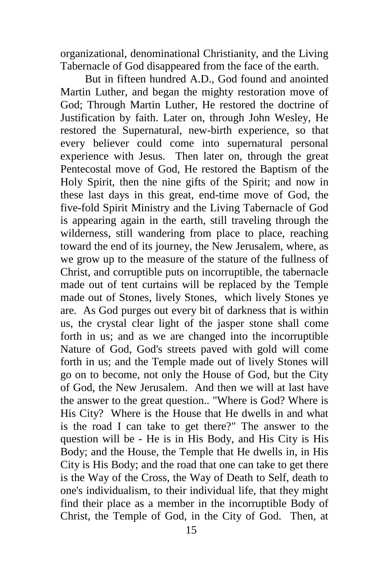organizational, denominational Christianity, and the Living Tabernacle of God disappeared from the face of the earth.

 But in fifteen hundred A.D., God found and anointed Martin Luther, and began the mighty restoration move of God; Through Martin Luther, He restored the doctrine of Justification by faith. Later on, through John Wesley, He restored the Supernatural, new-birth experience, so that every believer could come into supernatural personal experience with Jesus. Then later on, through the great Pentecostal move of God, He restored the Baptism of the Holy Spirit, then the nine gifts of the Spirit; and now in these last days in this great, end-time move of God, the five-fold Spirit Ministry and the Living Tabernacle of God is appearing again in the earth, still traveling through the wilderness, still wandering from place to place, reaching toward the end of its journey, the New Jerusalem, where, as we grow up to the measure of the stature of the fullness of Christ, and corruptible puts on incorruptible, the tabernacle made out of tent curtains will be replaced by the Temple made out of Stones, lively Stones, which lively Stones ye are. As God purges out every bit of darkness that is within us, the crystal clear light of the jasper stone shall come forth in us; and as we are changed into the incorruptible Nature of God, God's streets paved with gold will come forth in us; and the Temple made out of lively Stones will go on to become, not only the House of God, but the City of God, the New Jerusalem. And then we will at last have the answer to the great question.. "Where is God? Where is His City? Where is the House that He dwells in and what is the road I can take to get there?" The answer to the question will be - He is in His Body, and His City is His Body; and the House, the Temple that He dwells in, in His City is His Body; and the road that one can take to get there is the Way of the Cross, the Way of Death to Self, death to one's individualism, to their individual life, that they might find their place as a member in the incorruptible Body of Christ, the Temple of God, in the City of God. Then, at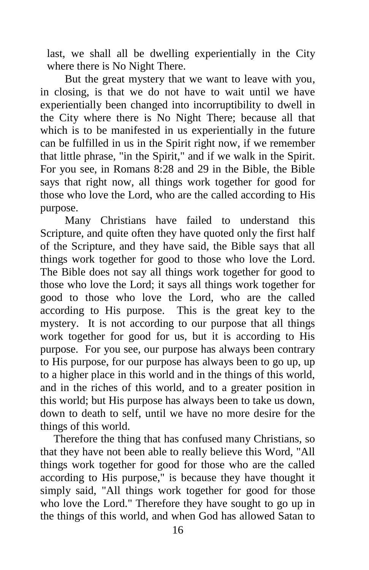last, we shall all be dwelling experientially in the City where there is No Night There.

 But the great mystery that we want to leave with you, in closing, is that we do not have to wait until we have experientially been changed into incorruptibility to dwell in the City where there is No Night There; because all that which is to be manifested in us experientially in the future can be fulfilled in us in the Spirit right now, if we remember that little phrase, "in the Spirit," and if we walk in the Spirit. For you see, in Romans 8:28 and 29 in the Bible, the Bible says that right now, all things work together for good for those who love the Lord, who are the called according to His purpose.

 Many Christians have failed to understand this Scripture, and quite often they have quoted only the first half of the Scripture, and they have said, the Bible says that all things work together for good to those who love the Lord. The Bible does not say all things work together for good to those who love the Lord; it says all things work together for good to those who love the Lord, who are the called according to His purpose. This is the great key to the mystery. It is not according to our purpose that all things work together for good for us, but it is according to His purpose. For you see, our purpose has always been contrary to His purpose, for our purpose has always been to go up, up to a higher place in this world and in the things of this world, and in the riches of this world, and to a greater position in this world; but His purpose has always been to take us down, down to death to self, until we have no more desire for the things of this world.

Therefore the thing that has confused many Christians, so that they have not been able to really believe this Word, "All things work together for good for those who are the called according to His purpose," is because they have thought it simply said, "All things work together for good for those who love the Lord." Therefore they have sought to go up in the things of this world, and when God has allowed Satan to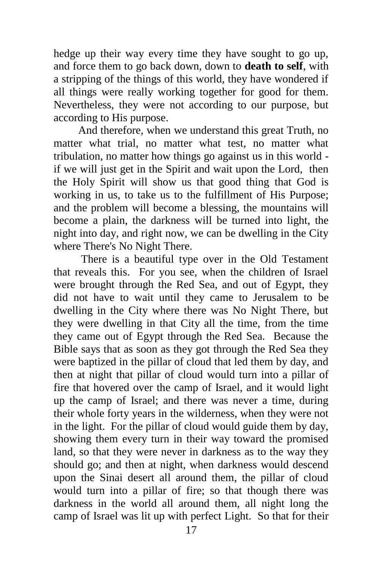hedge up their way every time they have sought to go up, and force them to go back down, down to **death to self**, with a stripping of the things of this world, they have wondered if all things were really working together for good for them. Nevertheless, they were not according to our purpose, but according to His purpose.

 And therefore, when we understand this great Truth, no matter what trial, no matter what test, no matter what tribulation, no matter how things go against us in this world if we will just get in the Spirit and wait upon the Lord, then the Holy Spirit will show us that good thing that God is working in us, to take us to the fulfillment of His Purpose; and the problem will become a blessing, the mountains will become a plain, the darkness will be turned into light, the night into day, and right now, we can be dwelling in the City where There's No Night There.

 There is a beautiful type over in the Old Testament that reveals this. For you see, when the children of Israel were brought through the Red Sea, and out of Egypt, they did not have to wait until they came to Jerusalem to be dwelling in the City where there was No Night There, but they were dwelling in that City all the time, from the time they came out of Egypt through the Red Sea. Because the Bible says that as soon as they got through the Red Sea they were baptized in the pillar of cloud that led them by day, and then at night that pillar of cloud would turn into a pillar of fire that hovered over the camp of Israel, and it would light up the camp of Israel; and there was never a time, during their whole forty years in the wilderness, when they were not in the light. For the pillar of cloud would guide them by day, showing them every turn in their way toward the promised land, so that they were never in darkness as to the way they should go; and then at night, when darkness would descend upon the Sinai desert all around them, the pillar of cloud would turn into a pillar of fire; so that though there was darkness in the world all around them, all night long the camp of Israel was lit up with perfect Light. So that for their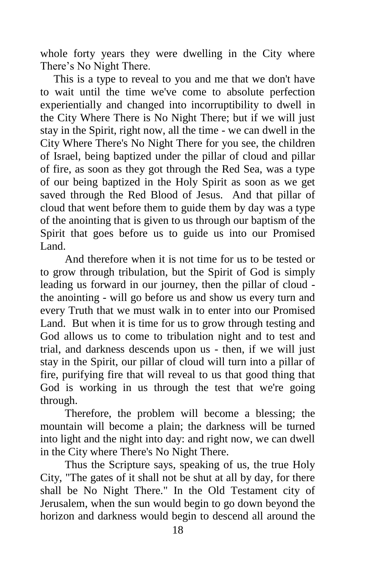whole forty years they were dwelling in the City where There's No Night There.

This is a type to reveal to you and me that we don't have to wait until the time we've come to absolute perfection experientially and changed into incorruptibility to dwell in the City Where There is No Night There; but if we will just stay in the Spirit, right now, all the time - we can dwell in the City Where There's No Night There for you see, the children of Israel, being baptized under the pillar of cloud and pillar of fire, as soon as they got through the Red Sea, was a type of our being baptized in the Holy Spirit as soon as we get saved through the Red Blood of Jesus. And that pillar of cloud that went before them to guide them by day was a type of the anointing that is given to us through our baptism of the Spirit that goes before us to guide us into our Promised Land.

 And therefore when it is not time for us to be tested or to grow through tribulation, but the Spirit of God is simply leading us forward in our journey, then the pillar of cloud the anointing - will go before us and show us every turn and every Truth that we must walk in to enter into our Promised Land. But when it is time for us to grow through testing and God allows us to come to tribulation night and to test and trial, and darkness descends upon us - then, if we will just stay in the Spirit, our pillar of cloud will turn into a pillar of fire, purifying fire that will reveal to us that good thing that God is working in us through the test that we're going through.

 Therefore, the problem will become a blessing; the mountain will become a plain; the darkness will be turned into light and the night into day: and right now, we can dwell in the City where There's No Night There.

 Thus the Scripture says, speaking of us, the true Holy City, "The gates of it shall not be shut at all by day, for there shall be No Night There." In the Old Testament city of Jerusalem, when the sun would begin to go down beyond the horizon and darkness would begin to descend all around the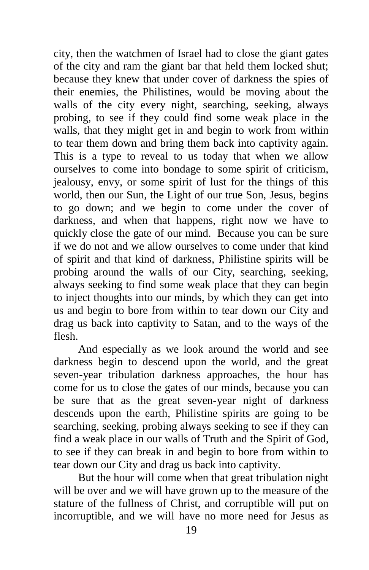city, then the watchmen of Israel had to close the giant gates of the city and ram the giant bar that held them locked shut; because they knew that under cover of darkness the spies of their enemies, the Philistines, would be moving about the walls of the city every night, searching, seeking, always probing, to see if they could find some weak place in the walls, that they might get in and begin to work from within to tear them down and bring them back into captivity again. This is a type to reveal to us today that when we allow ourselves to come into bondage to some spirit of criticism, jealousy, envy, or some spirit of lust for the things of this world, then our Sun, the Light of our true Son, Jesus, begins to go down; and we begin to come under the cover of darkness, and when that happens, right now we have to quickly close the gate of our mind. Because you can be sure if we do not and we allow ourselves to come under that kind of spirit and that kind of darkness, Philistine spirits will be probing around the walls of our City, searching, seeking, always seeking to find some weak place that they can begin to inject thoughts into our minds, by which they can get into us and begin to bore from within to tear down our City and drag us back into captivity to Satan, and to the ways of the flesh.

 And especially as we look around the world and see darkness begin to descend upon the world, and the great seven-year tribulation darkness approaches, the hour has come for us to close the gates of our minds, because you can be sure that as the great seven-year night of darkness descends upon the earth, Philistine spirits are going to be searching, seeking, probing always seeking to see if they can find a weak place in our walls of Truth and the Spirit of God, to see if they can break in and begin to bore from within to tear down our City and drag us back into captivity.

 But the hour will come when that great tribulation night will be over and we will have grown up to the measure of the stature of the fullness of Christ, and corruptible will put on incorruptible, and we will have no more need for Jesus as